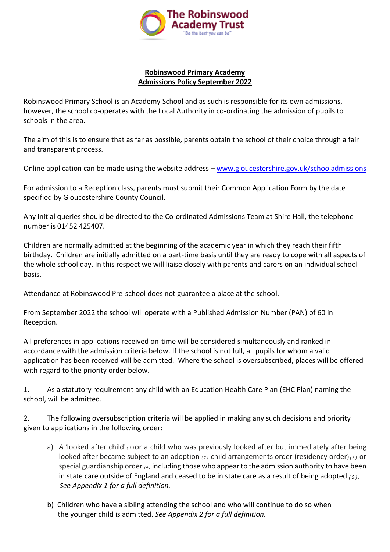

## **Robinswood Primary Academy Admissions Policy September 2022**

Robinswood Primary School is an Academy School and as such is responsible for its own admissions, however, the school co-operates with the Local Authority in co-ordinating the admission of pupils to schools in the area.

The aim of this is to ensure that as far as possible, parents obtain the school of their choice through a fair and transparent process.

Online application can be made using the website address – [www.gloucestershire.gov.uk/schooladmissions](http://www.gloucestershire.gov.uk/schooladmissions)

For admission to a Reception class, parents must submit their Common Application Form by the date specified by Gloucestershire County Council.

Any initial queries should be directed to the Co-ordinated Admissions Team at Shire Hall, the telephone number is 01452 425407.

Children are normally admitted at the beginning of the academic year in which they reach their fifth birthday. Children are initially admitted on a part-time basis until they are ready to cope with all aspects of the whole school day. In this respect we will liaise closely with parents and carers on an individual school basis.

Attendance at Robinswood Pre-school does not guarantee a place at the school.

From September 2022 the school will operate with a Published Admission Number (PAN) of 60 in Reception.

All preferences in applications received on-time will be considered simultaneously and ranked in accordance with the admission criteria below. If the school is not full, all pupils for whom a valid application has been received will be admitted. Where the school is oversubscribed, places will be offered with regard to the priority order below.

1. As a statutory requirement any child with an Education Health Care Plan (EHC Plan) naming the school, will be admitted.

2. The following oversubscription criteria will be applied in making any such decisions and priority given to applications in the following order:

- a) *A '*looked after child' *( <sup>1</sup> )*or a child who was previously looked after but immediately after being looked after became subject to an adoption *( <sup>2</sup> )* child arrangements order (residency order)*( <sup>3</sup> )* or special guardianship order *( <sup>4</sup> )* including those who appearto the admission authority to have been in state care outside of England and ceased to be in state care as a result of being adopted *( <sup>5</sup> ) . See Appendix 1 for a full definition.*
- b) Children who have a sibling attending the school and who will continue to do so when the younger child is admitted. *See Appendix 2 for a full definition.*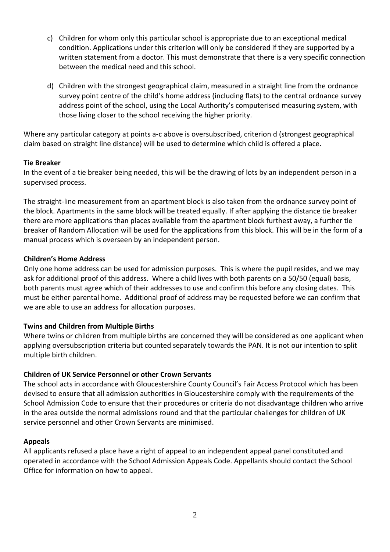- c) Children for whom only this particular school is appropriate due to an exceptional medical condition. Applications under this criterion will only be considered if they are supported by a written statement from a doctor. This must demonstrate that there is a very specific connection between the medical need and this school.
- d) Children with the strongest geographical claim, measured in a straight line from the ordnance survey point centre of the child's home address (including flats) to the central ordnance survey address point of the school, using the Local Authority's computerised measuring system, with those living closer to the school receiving the higher priority.

Where any particular category at points a-c above is oversubscribed, criterion d (strongest geographical claim based on straight line distance) will be used to determine which child is offered a place.

### **Tie Breaker**

In the event of a tie breaker being needed, this will be the drawing of lots by an independent person in a supervised process.

The straight-line measurement from an apartment block is also taken from the ordnance survey point of the block. Apartments in the same block will be treated equally. If after applying the distance tie breaker there are more applications than places available from the apartment block furthest away, a further tie breaker of Random Allocation will be used for the applications from this block. This will be in the form of a manual process which is overseen by an independent person.

### **Children's Home Address**

Only one home address can be used for admission purposes. This is where the pupil resides, and we may ask for additional proof of this address. Where a child lives with both parents on a 50/50 (equal) basis, both parents must agree which of their addresses to use and confirm this before any closing dates. This must be either parental home. Additional proof of address may be requested before we can confirm that we are able to use an address for allocation purposes.

#### **Twins and Children from Multiple Births**

Where twins or children from multiple births are concerned they will be considered as one applicant when applying oversubscription criteria but counted separately towards the PAN. It is not our intention to split multiple birth children.

#### **Children of UK Service Personnel or other Crown Servants**

The school acts in accordance with Gloucestershire County Council's Fair Access Protocol which has been devised to ensure that all admission authorities in Gloucestershire comply with the requirements of the School Admission Code to ensure that their procedures or criteria do not disadvantage children who arrive in the area outside the normal admissions round and that the particular challenges for children of UK service personnel and other Crown Servants are minimised.

#### **Appeals**

All applicants refused a place have a right of appeal to an independent appeal panel constituted and operated in accordance with the School Admission Appeals Code. Appellants should contact the School Office for information on how to appeal.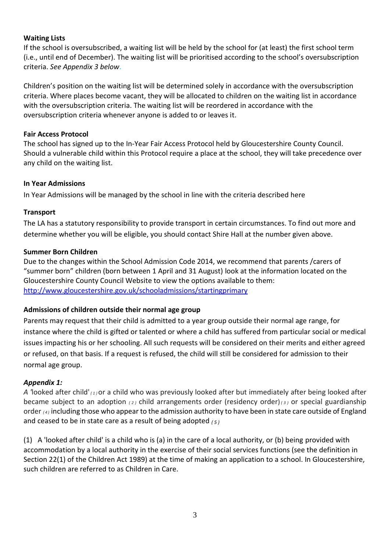# **Waiting Lists**

If the school is oversubscribed, a waiting list will be held by the school for (at least) the first school term (i.e., until end of December). The waiting list will be prioritised according to the school's oversubscription criteria. *See Appendix 3 below*.

Children's position on the waiting list will be determined solely in accordance with the oversubscription criteria. Where places become vacant, they will be allocated to children on the waiting list in accordance with the oversubscription criteria. The waiting list will be reordered in accordance with the oversubscription criteria whenever anyone is added to or leaves it.

## **Fair Access Protocol**

The school has signed up to the In-Year Fair Access Protocol held by Gloucestershire County Council. Should a vulnerable child within this Protocol require a place at the school, they will take precedence over any child on the waiting list.

### **In Year Admissions**

In Year Admissions will be managed by the school in line with the criteria described here

### **Transport**

The LA has a statutory responsibility to provide transport in certain circumstances. To find out more and determine whether you will be eligible, you should contact Shire Hall at the number given above.

### **Summer Born Children**

Due to the changes within the School Admission Code 2014, we recommend that parents /carers of "summer born" children (born between 1 April and 31 August) look at the information located on the Gloucestershire County Council Website to view the options available to them: [http://www.gloucestershire.gov.uk/schooladmissions/startingprimary](http://www.gloucestershire.gov.uk/schooladmissions)

# **Admissions of children outside their normal age group**

Parents may request that their child is admitted to a year group outside their normal age range, for instance where the child is gifted or talented or where a child has suffered from particular social or medical issues impacting his or her schooling. All such requests will be considered on their merits and either agreed or refused, on that basis. If a request is refused, the child will still be considered for admission to their normal age group.

# *Appendix 1:*

*A '*looked after child' *( <sup>1</sup> )*or a child who was previously looked after but immediately after being looked after became subject to an adoption *( <sup>2</sup> )* child arrangements order (residency order)*( <sup>3</sup> )* or special guardianship order *( <sup>4</sup> )* including those who appear to the admission authority to have been in state care outside of England and ceased to be in state care as a result of being adopted *( <sup>5</sup> )*

(1) A 'looked after child' is a child who is (a) in the care of a local authority, or (b) being provided with accommodation by a local authority in the exercise of their social services functions (see the definition in Section 22(1) of the Children Act 1989) at the time of making an application to a school. In Gloucestershire, such children are referred to as Children in Care.